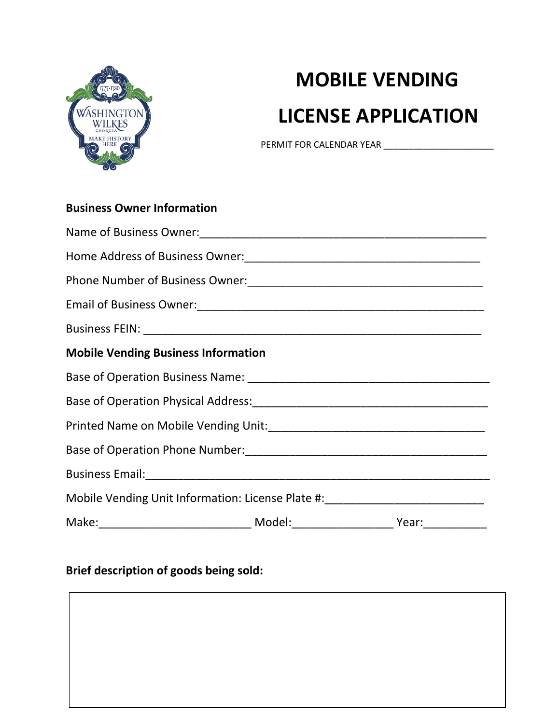

## **MOBILE VENDING LICENSE APPLICATION**

PERMIT FOR CALENDAR YEAR \_\_\_\_\_\_\_\_\_\_\_\_\_\_\_\_\_\_\_\_\_\_

| <b>Business Owner Information</b>                                                |  |
|----------------------------------------------------------------------------------|--|
|                                                                                  |  |
|                                                                                  |  |
|                                                                                  |  |
|                                                                                  |  |
|                                                                                  |  |
| <b>Mobile Vending Business Information</b>                                       |  |
|                                                                                  |  |
|                                                                                  |  |
|                                                                                  |  |
|                                                                                  |  |
|                                                                                  |  |
| Mobile Vending Unit Information: License Plate #: ______________________________ |  |
|                                                                                  |  |

## **Brief description of goods being sold:**